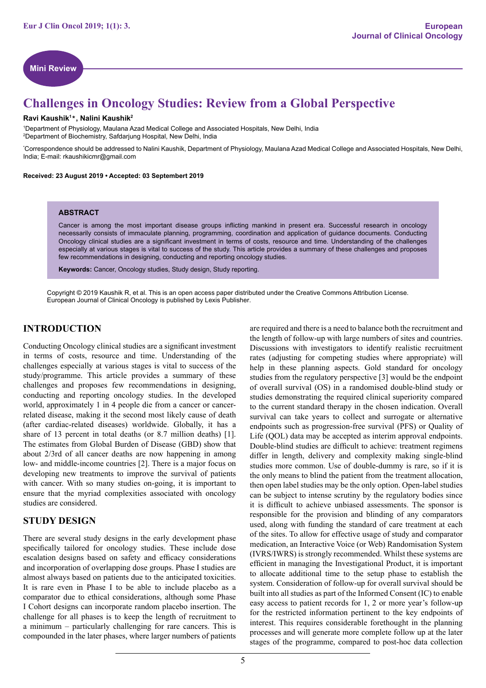

# **Challenges in Oncology Studies: Review from a Global Perspective**

#### **Ravi Kaushik1 , Nalini Kaushik2 \***

1Department of Physiology, Maulana Azad Medical College and Associated Hospitals, New Delhi, India 2 Department of Biochemistry, Safdarjung Hospital, New Delhi, India

\* Correspondence should be addressed to Nalini Kaushik, Department of Physiology, Maulana Azad Medical College and Associated Hospitals, New Delhi, India; E-mail: rkaushikicmr@gmail.com

Received: 23 August 2019 · Accepted: 03 Septembert 2019

#### **ABSTRACT**

Cancer is among the most important disease groups inflicting mankind in present era. Successful research in oncology necessarily consists of immaculate planning, programming, coordination and application of guidance documents. Conducting Oncology clinical studies are a significant investment in terms of costs, resource and time. Understanding of the challenges especially at various stages is vital to success of the study. This article provides a summary of these challenges and proposes few recommendations in designing, conducting and reporting oncology studies.

**Keywords:** Cancer, Oncology studies, Study design, Study reporting.

Copyright © 2019 Kaushik R, et al. This is an open access paper distributed under the Creative Commons Attribution License. European Journal of Clinical Oncology is published by Lexis Publisher.

### **INTRODUCTION**

Conducting Oncology clinical studies are a significant investment in terms of costs, resource and time. Understanding of the challenges especially at various stages is vital to success of the study/programme. This article provides a summary of these challenges and proposes few recommendations in designing, conducting and reporting oncology studies. In the developed world, approximately 1 in 4 people die from a cancer or cancerrelated disease, making it the second most likely cause of death (after cardiac-related diseases) worldwide. Globally, it has a share of 13 percent in total deaths (or 8.7 million deaths) [1]. The estimates from Global Burden of Disease (GBD) show that about 2/3rd of all cancer deaths are now happening in among low- and middle-income countries [2]. There is a major focus on developing new treatments to improve the survival of patients with cancer. With so many studies on-going, it is important to ensure that the myriad complexities associated with oncology studies are considered.

#### **STUDY DESIGN**

There are several study designs in the early development phase specifically tailored for oncology studies. These include dose escalation designs based on safety and efficacy considerations and incorporation of overlapping dose groups. Phase I studies are almost always based on patients due to the anticipated toxicities. It is rare even in Phase I to be able to include placebo as a comparator due to ethical considerations, although some Phase I Cohort designs can incorporate random placebo insertion. The challenge for all phases is to keep the length of recruitment to a minimum – particularly challenging for rare cancers. This is compounded in the later phases, where larger numbers of patients are required and there is a need to balance both the recruitment and the length of follow-up with large numbers of sites and countries. Discussions with investigators to identify realistic recruitment rates (adjusting for competing studies where appropriate) will help in these planning aspects. Gold standard for oncology studies from the regulatory perspective [3] would be the endpoint of overall survival (OS) in a randomised double-blind study or studies demonstrating the required clinical superiority compared to the current standard therapy in the chosen indication. Overall survival can take years to collect and surrogate or alternative endpoints such as progression-free survival (PFS) or Quality of Life (OOL) data may be accepted as interim approval endpoints. Double-blind studies are difficult to achieve: treatment regimens differ in length, delivery and complexity making single-blind studies more common. Use of double-dummy is rare, so if it is the only means to blind the patient from the treatment allocation, then open label studies may be the only option. Open-label studies can be subject to intense scrutiny by the regulatory bodies since it is difficult to achieve unbiased assessments. The sponsor is responsible for the provision and blinding of any comparators used, along with funding the standard of care treatment at each of the sites. To allow for effective usage of study and comparator medication, an Interactive Voice (or Web) Randomisation System (IVRS/IWRS) is strongly recommended. Whilst these systems are efficient in managing the Investigational Product, it is important to allocate additional time to the setup phase to establish the system. Consideration of follow-up for overall survival should be built into all studies as part of the Informed Consent (IC) to enable easy access to patient records for 1, 2 or more year's follow-up for the restricted information pertinent to the key endpoints of interest. This requires considerable forethought in the planning processes and will generate more complete follow up at the later stages of the programme, compared to post-hoc data collection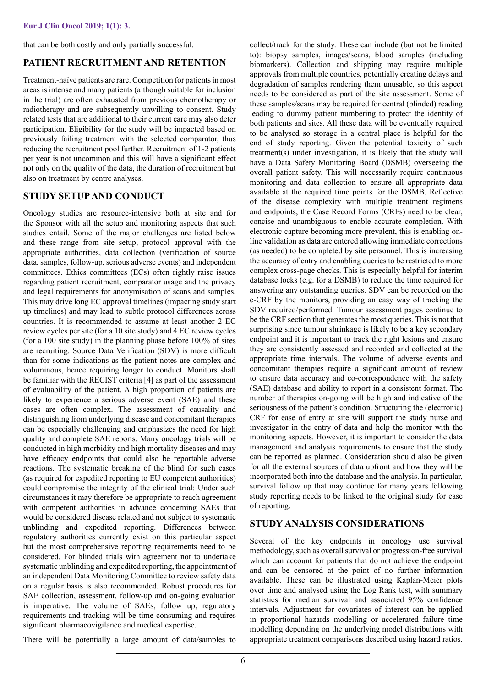that can be both costly and only partially successful.

## **PATIENT RECRUITMENT AND RETENTION**

Treatment-naïve patients are rare. Competition for patients in most areas is intense and many patients (although suitable for inclusion in the trial) are often exhausted from previous chemotherapy or radiotherapy and are subsequently unwilling to consent. Study related tests that are additional to their current care may also deter participation. Eligibility for the study will be impacted based on previously failing treatment with the selected comparator, thus reducing the recruitment pool further. Recruitment of 1-2 patients per year is not uncommon and this will have a significant effect not only on the quality of the data, the duration of recruitment but also on treatment by centre analyses.

### **STUDY SETUP AND CONDUCT**

Oncology studies are resource-intensive both at site and for the Sponsor with all the setup and monitoring aspects that such studies entail. Some of the major challenges are listed below and these range from site setup, protocol approval with the appropriate authorities, data collection (verification of source data, samples, follow-up, serious adverse events) and independent committees. Ethics committees (ECs) often rightly raise issues regarding patient recruitment, comparator usage and the privacy and legal requirements for anonymisation of scans and samples. This may drive long EC approval timelines (impacting study start up timelines) and may lead to subtle protocol differences across countries. It is recommended to assume at least another 2 EC review cycles per site (for a 10 site study) and 4 EC review cycles (for a 100 site study) in the planning phase before 100% of sites are recruiting. Source Data Verification (SDV) is more difficult than for some indications as the patient notes are complex and voluminous, hence requiring longer to conduct. Monitors shall be familiar with the RECIST criteria [4] as part of the assessment of evaluability of the patient. A high proportion of patients are likely to experience a serious adverse event (SAE) and these cases are often complex. The assessment of causality and distinguishing from underlying disease and concomitant therapies can be especially challenging and emphasizes the need for high quality and complete SAE reports. Many oncology trials will be conducted in high morbidity and high mortality diseases and may have efficacy endpoints that could also be reportable adverse reactions. The systematic breaking of the blind for such cases (as required for expedited reporting to EU competent authorities) could compromise the integrity of the clinical trial: Under such circumstances it may therefore be appropriate to reach agreement with competent authorities in advance concerning SAEs that would be considered disease related and not subject to systematic unblinding and expedited reporting. Differences between regulatory authorities currently exist on this particular aspect but the most comprehensive reporting requirements need to be considered. For blinded trials with agreement not to undertake systematic unblinding and expedited reporting, the appointment of an independent Data Monitoring Committee to review safety data on a regular basis is also recommended. Robust procedures for SAE collection, assessment, follow-up and on-going evaluation is imperative. The volume of SAEs, follow up, regulatory requirements and tracking will be time consuming and requires significant pharmacovigilance and medical expertise.

There will be potentially a large amount of data/samples to

collect/track for the study. These can include (but not be limited to): biopsy samples, images/scans, blood samples (including biomarkers). Collection and shipping may require multiple approvals from multiple countries, potentially creating delays and degradation of samples rendering them unusable, so this aspect needs to be considered as part of the site assessment. Some of these samples/scans may be required for central (blinded) reading leading to dummy patient numbering to protect the identity of both patients and sites. All these data will be eventually required to be analysed so storage in a central place is helpful for the end of study reporting. Given the potential toxicity of such treatment(s) under investigation, it is likely that the study will have a Data Safety Monitoring Board (DSMB) overseeing the overall patient safety. This will necessarily require continuous monitoring and data collection to ensure all appropriate data available at the required time points for the DSMB. Reflective of the disease complexity with multiple treatment regimens and endpoints, the Case Record Forms (CRFs) need to be clear, concise and unambiguous to enable accurate completion. With electronic capture becoming more prevalent, this is enabling online validation as data are entered allowing immediate corrections (as needed) to be completed by site personnel. This is increasing the accuracy of entry and enabling queries to be restricted to more complex cross-page checks. This is especially helpful for interim database locks (e.g. for a DSMB) to reduce the time required for answering any outstanding queries. SDV can be recorded on the e-CRF by the monitors, providing an easy way of tracking the SDV required/performed. Tumour assessment pages continue to be the CRF section that generates the most queries. This is not that surprising since tumour shrinkage is likely to be a key secondary endpoint and it is important to track the right lesions and ensure they are consistently assessed and recorded and collected at the appropriate time intervals. The volume of adverse events and concomitant therapies require a significant amount of review to ensure data accuracy and co-correspondence with the safety (SAE) database and ability to report in a consistent format. The number of therapies on-going will be high and indicative of the seriousness of the patient's condition. Structuring the (electronic) CRF for ease of entry at site will support the study nurse and investigator in the entry of data and help the monitor with the monitoring aspects. However, it is important to consider the data management and analysis requirements to ensure that the study can be reported as planned. Consideration should also be given for all the external sources of data upfront and how they will be incorporated both into the database and the analysis. In particular, survival follow up that may continue for many years following study reporting needs to be linked to the original study for ease of reporting.

### **STUDY ANALYSIS CONSIDERATIONS**

Several of the key endpoints in oncology use survival methodology, such as overall survival or progression-free survival which can account for patients that do not achieve the endpoint and can be censored at the point of no further information available. These can be illustrated using Kaplan-Meier plots over time and analysed using the Log Rank test, with summary statistics for median survival and associated 95% confidence intervals. Adjustment for covariates of interest can be applied in proportional hazards modelling or accelerated failure time modelling depending on the underlying model distributions with appropriate treatment comparisons described using hazard ratios.